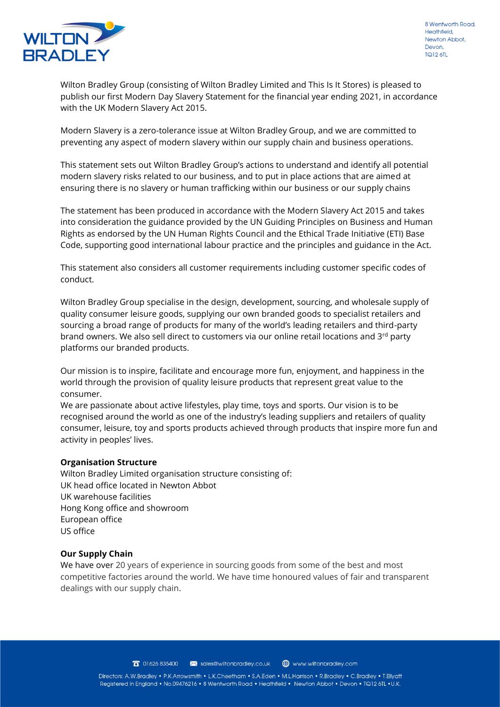

Wilton Bradley Group (consisting of Wilton Bradley Limited and This Is It Stores) is pleased to publish our first Modern Day Slavery Statement for the financial year ending 2021, in accordance with the UK Modern Slavery Act 2015.

Modern Slavery is a zero-tolerance issue at Wilton Bradley Group, and we are committed to preventing any aspect of modern slavery within our supply chain and business operations.

This statement sets out Wilton Bradley Group's actions to understand and identify all potential modern slavery risks related to our business, and to put in place actions that are aimed at ensuring there is no slavery or human trafficking within our business or our supply chains

The statement has been produced in accordance with the Modern Slavery Act 2015 and takes into consideration the guidance provided by the UN Guiding Principles on Business and Human Rights as endorsed by the UN Human Rights Council and the Ethical Trade Initiative (ETI) Base Code, supporting good international labour practice and the principles and guidance in the Act.

This statement also considers all customer requirements including customer specific codes of conduct.

Wilton Bradley Group specialise in the design, development, sourcing, and wholesale supply of quality consumer leisure goods, supplying our own branded goods to specialist retailers and sourcing a broad range of products for many of the world's leading retailers and third-party brand owners. We also sell direct to customers via our online retail locations and  $3<sup>rd</sup>$  party platforms our branded products.

Our mission is to inspire, facilitate and encourage more fun, enjoyment, and happiness in the world through the provision of quality leisure products that represent great value to the consumer.

We are passionate about active lifestyles, play time, toys and sports. Our vision is to be recognised around the world as one of the industry's leading suppliers and retailers of quality consumer, leisure, toy and sports products achieved through products that inspire more fun and activity in peoples' lives.

# **Organisation Structure**

Wilton Bradley Limited organisation structure consisting of: UK head office located in Newton Abbot UK warehouse facilities Hong Kong office and showroom European office US office

# **Our Supply Chain**

We have over 20 years of experience in sourcing goods from some of the best and most competitive factories around the world. We have time honoured values of fair and transparent dealings with our supply chain.

> $\pi$  01626 835400 sales@wiltonbradley.co.uk www.wiltonbradley.com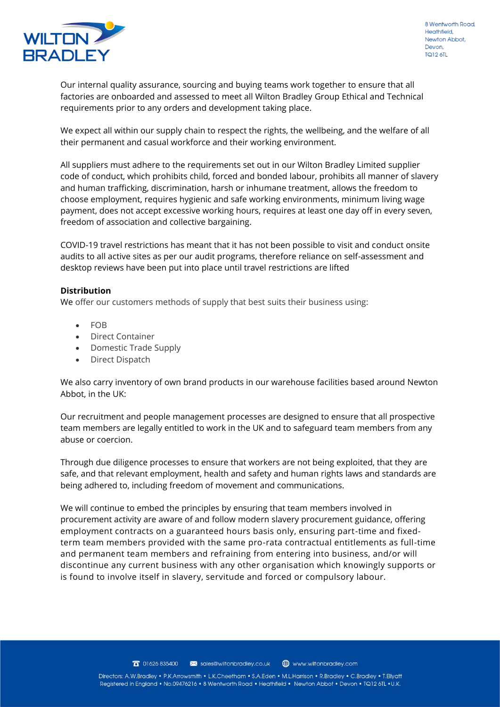

Our internal quality assurance, sourcing and buying teams work together to ensure that all factories are onboarded and assessed to meet all Wilton Bradley Group Ethical and Technical requirements prior to any orders and development taking place.

We expect all within our supply chain to respect the rights, the wellbeing, and the welfare of all their permanent and casual workforce and their working environment.

All suppliers must adhere to the requirements set out in our Wilton Bradley Limited supplier code of conduct, which prohibits child, forced and bonded labour, prohibits all manner of slavery and human trafficking, discrimination, harsh or inhumane treatment, allows the freedom to choose employment, requires hygienic and safe working environments, minimum living wage payment, does not accept excessive working hours, requires at least one day off in every seven, freedom of association and collective bargaining.

COVID-19 travel restrictions has meant that it has not been possible to visit and conduct onsite audits to all active sites as per our audit programs, therefore reliance on self-assessment and desktop reviews have been put into place until travel restrictions are lifted

# **Distribution**

We offer our customers methods of supply that best suits their business using:

- FOB
- Direct Container
- Domestic Trade Supply
- Direct Dispatch

We also carry inventory of own brand products in our warehouse facilities based around Newton Abbot, in the UK:

Our recruitment and people management processes are designed to ensure that all prospective team members are legally entitled to work in the UK and to safeguard team members from any abuse or coercion.

Through due diligence processes to ensure that workers are not being exploited, that they are safe, and that relevant employment, health and safety and human rights laws and standards are being adhered to, including freedom of movement and communications.

We will continue to embed the principles by ensuring that team members involved in procurement activity are aware of and follow modern slavery procurement guidance, offering employment contracts on a guaranteed hours basis only, ensuring part-time and fixedterm team members provided with the same pro-rata contractual entitlements as full-time and permanent team members and refraining from entering into business, and/or will discontinue any current business with any other organisation which knowingly supports or is found to involve itself in slavery, servitude and forced or compulsory labour.

> $\pi$  01626 835400 sales@wiltonbradley.co.uk www.wiltonbradley.com

Directors: A.W.Bradley • P.K.Arrowsmith • L.K.Cheetham • S.A.Eden • M.L.Harrison • R.Bradley • C.Bradley • T.Ellyatt Registered in England • No.09476216 • 8 Wentworth Road • Heathfield • Newton Abbot • Devon • TQ12 6TL • U.K.